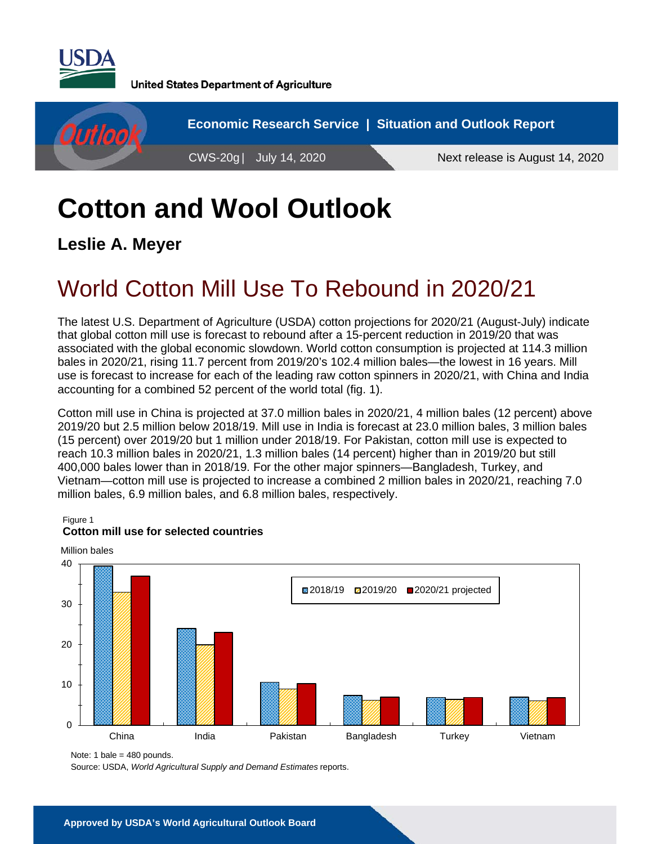

**United States Department of Agriculture** 



# **Cotton and Wool Outlook**

**Leslie A. Meyer** 

## World Cotton Mill Use To Rebound in 2020/21

The latest U.S. Department of Agriculture (USDA) cotton projections for 2020/21 (August-July) indicate that global cotton mill use is forecast to rebound after a 15-percent reduction in 2019/20 that was associated with the global economic slowdown. World cotton consumption is projected at 114.3 million bales in 2020/21, rising 11.7 percent from 2019/20's 102.4 million bales—the lowest in 16 years. Mill use is forecast to increase for each of the leading raw cotton spinners in 2020/21, with China and India accounting for a combined 52 percent of the world total (fig. 1).

Cotton mill use in China is projected at 37.0 million bales in 2020/21, 4 million bales (12 percent) above 2019/20 but 2.5 million below 2018/19. Mill use in India is forecast at 23.0 million bales, 3 million bales (15 percent) over 2019/20 but 1 million under 2018/19. For Pakistan, cotton mill use is expected to reach 10.3 million bales in 2020/21, 1.3 million bales (14 percent) higher than in 2019/20 but still 400,000 bales lower than in 2018/19. For the other major spinners—Bangladesh, Turkey, and Vietnam—cotton mill use is projected to increase a combined 2 million bales in 2020/21, reaching 7.0 million bales, 6.9 million bales, and 6.8 million bales, respectively.

Figure 1



### **Cotton mill use for selected countries**

Source: USDA, *World Agricultural Supply and Demand Estimates* reports.

Note: 1 bale = 480 pounds.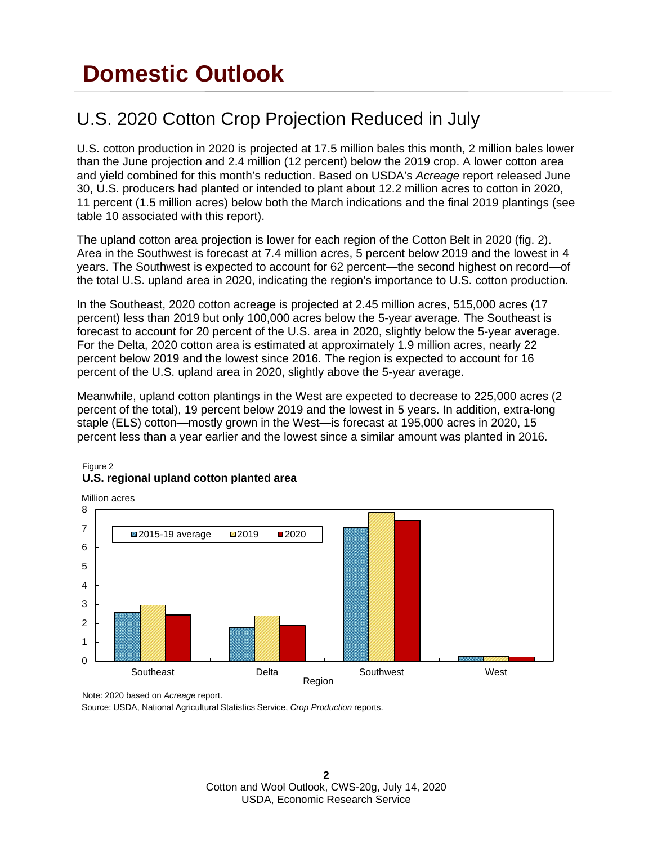## **Domestic Outlook**

### U.S. 2020 Cotton Crop Projection Reduced in July

U.S. cotton production in 2020 is projected at 17.5 million bales this month, 2 million bales lower than the June projection and 2.4 million (12 percent) below the 2019 crop. A lower cotton area and yield combined for this month's reduction. Based on USDA's *Acreage* report released June 30, U.S. producers had planted or intended to plant about 12.2 million acres to cotton in 2020, 11 percent (1.5 million acres) below both the March indications and the final 2019 plantings (see table 10 associated with this report).

The upland cotton area projection is lower for each region of the Cotton Belt in 2020 (fig. 2). Area in the Southwest is forecast at 7.4 million acres, 5 percent below 2019 and the lowest in 4 years. The Southwest is expected to account for 62 percent—the second highest on record—of the total U.S. upland area in 2020, indicating the region's importance to U.S. cotton production.

In the Southeast, 2020 cotton acreage is projected at 2.45 million acres, 515,000 acres (17 percent) less than 2019 but only 100,000 acres below the 5-year average. The Southeast is forecast to account for 20 percent of the U.S. area in 2020, slightly below the 5-year average. For the Delta, 2020 cotton area is estimated at approximately 1.9 million acres, nearly 22 percent below 2019 and the lowest since 2016. The region is expected to account for 16 percent of the U.S. upland area in 2020, slightly above the 5-year average.

Meanwhile, upland cotton plantings in the West are expected to decrease to 225,000 acres (2 percent of the total), 19 percent below 2019 and the lowest in 5 years. In addition, extra-long staple (ELS) cotton—mostly grown in the West—is forecast at 195,000 acres in 2020, 15 percent less than a year earlier and the lowest since a similar amount was planted in 2016.



#### Figure 2 **U.S. regional upland cotton planted area**

Note: 2020 based on *Acreage* report.

Source: USDA, National Agricultural Statistics Service, *Crop Production* reports.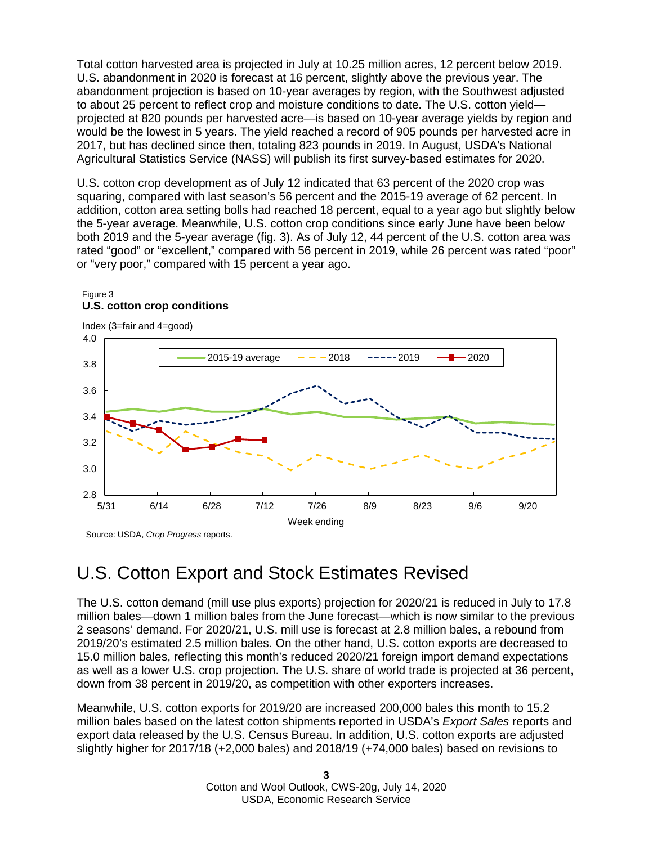Total cotton harvested area is projected in July at 10.25 million acres, 12 percent below 2019. U.S. abandonment in 2020 is forecast at 16 percent, slightly above the previous year. The abandonment projection is based on 10-year averages by region, with the Southwest adjusted to about 25 percent to reflect crop and moisture conditions to date. The U.S. cotton yield projected at 820 pounds per harvested acre—is based on 10-year average yields by region and would be the lowest in 5 years. The yield reached a record of 905 pounds per harvested acre in 2017, but has declined since then, totaling 823 pounds in 2019. In August, USDA's National Agricultural Statistics Service (NASS) will publish its first survey-based estimates for 2020.

U.S. cotton crop development as of July 12 indicated that 63 percent of the 2020 crop was squaring, compared with last season's 56 percent and the 2015-19 average of 62 percent. In addition, cotton area setting bolls had reached 18 percent, equal to a year ago but slightly below the 5-year average. Meanwhile, U.S. cotton crop conditions since early June have been below both 2019 and the 5-year average (fig. 3). As of July 12, 44 percent of the U.S. cotton area was rated "good" or "excellent," compared with 56 percent in 2019, while 26 percent was rated "poor" or "very poor," compared with 15 percent a year ago.

#### Figure 3 **U.S. cotton crop conditions**



### U.S. Cotton Export and Stock Estimates Revised

The U.S. cotton demand (mill use plus exports) projection for 2020/21 is reduced in July to 17.8 million bales—down 1 million bales from the June forecast—which is now similar to the previous 2 seasons' demand. For 2020/21, U.S. mill use is forecast at 2.8 million bales, a rebound from 2019/20's estimated 2.5 million bales. On the other hand, U.S. cotton exports are decreased to 15.0 million bales, reflecting this month's reduced 2020/21 foreign import demand expectations as well as a lower U.S. crop projection. The U.S. share of world trade is projected at 36 percent, down from 38 percent in 2019/20, as competition with other exporters increases.

Meanwhile, U.S. cotton exports for 2019/20 are increased 200,000 bales this month to 15.2 million bales based on the latest cotton shipments reported in USDA's *Export Sales* reports and export data released by the U.S. Census Bureau. In addition, U.S. cotton exports are adjusted slightly higher for 2017/18 (+2,000 bales) and 2018/19 (+74,000 bales) based on revisions to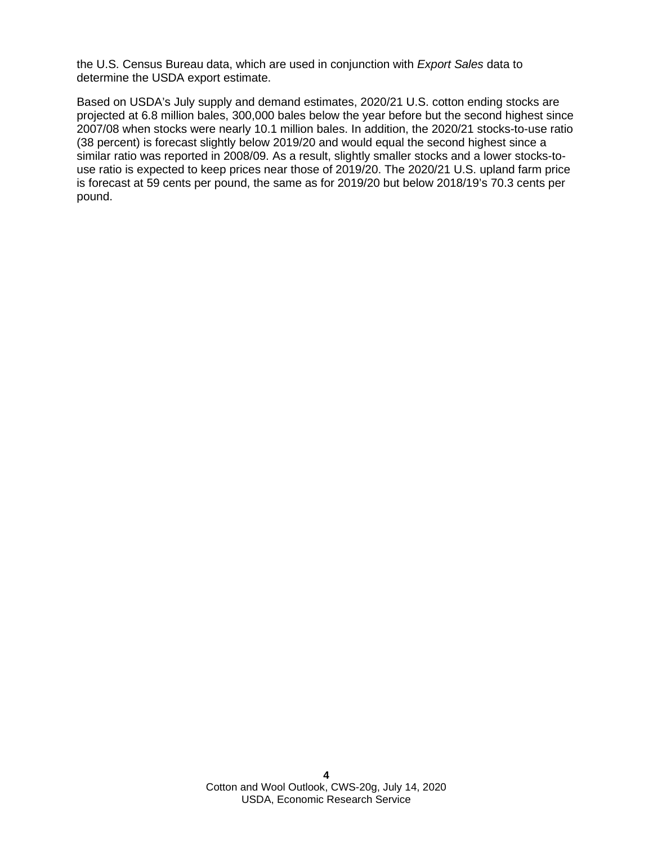the U.S. Census Bureau data, which are used in conjunction with *Export Sales* data to determine the USDA export estimate.

Based on USDA's July supply and demand estimates, 2020/21 U.S. cotton ending stocks are projected at 6.8 million bales, 300,000 bales below the year before but the second highest since 2007/08 when stocks were nearly 10.1 million bales. In addition, the 2020/21 stocks-to-use ratio (38 percent) is forecast slightly below 2019/20 and would equal the second highest since a similar ratio was reported in 2008/09. As a result, slightly smaller stocks and a lower stocks-touse ratio is expected to keep prices near those of 2019/20. The 2020/21 U.S. upland farm price is forecast at 59 cents per pound, the same as for 2019/20 but below 2018/19's 70.3 cents per pound.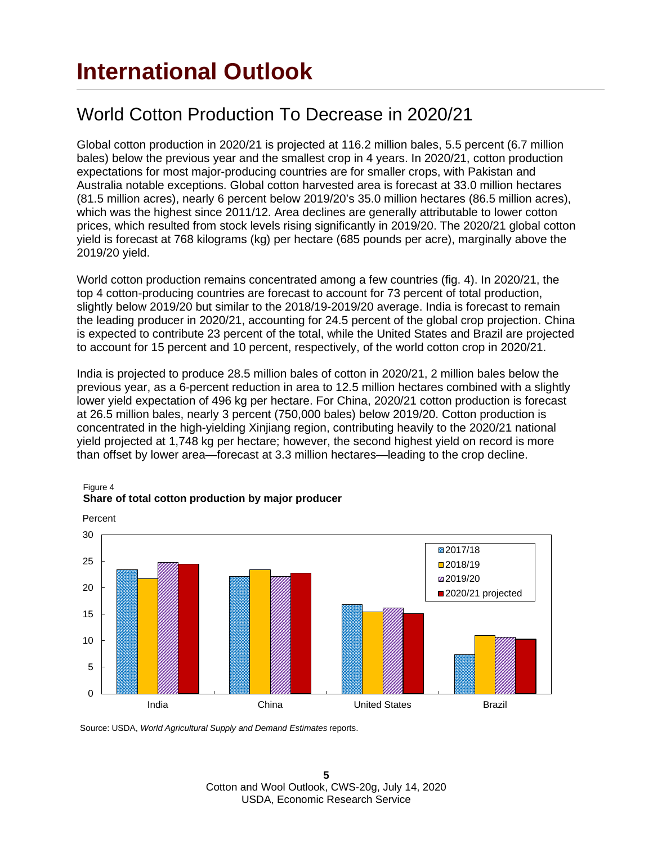### World Cotton Production To Decrease in 2020/21

Global cotton production in 2020/21 is projected at 116.2 million bales, 5.5 percent (6.7 million bales) below the previous year and the smallest crop in 4 years. In 2020/21, cotton production expectations for most major-producing countries are for smaller crops, with Pakistan and Australia notable exceptions. Global cotton harvested area is forecast at 33.0 million hectares (81.5 million acres), nearly 6 percent below 2019/20's 35.0 million hectares (86.5 million acres), which was the highest since 2011/12. Area declines are generally attributable to lower cotton prices, which resulted from stock levels rising significantly in 2019/20. The 2020/21 global cotton yield is forecast at 768 kilograms (kg) per hectare (685 pounds per acre), marginally above the 2019/20 yield.

World cotton production remains concentrated among a few countries (fig. 4). In 2020/21, the top 4 cotton-producing countries are forecast to account for 73 percent of total production, slightly below 2019/20 but similar to the 2018/19-2019/20 average. India is forecast to remain the leading producer in 2020/21, accounting for 24.5 percent of the global crop projection. China is expected to contribute 23 percent of the total, while the United States and Brazil are projected to account for 15 percent and 10 percent, respectively, of the world cotton crop in 2020/21.

India is projected to produce 28.5 million bales of cotton in 2020/21, 2 million bales below the previous year, as a 6-percent reduction in area to 12.5 million hectares combined with a slightly lower yield expectation of 496 kg per hectare. For China, 2020/21 cotton production is forecast at 26.5 million bales, nearly 3 percent (750,000 bales) below 2019/20. Cotton production is concentrated in the high-yielding Xinjiang region, contributing heavily to the 2020/21 national yield projected at 1,748 kg per hectare; however, the second highest yield on record is more than offset by lower area—forecast at 3.3 million hectares—leading to the crop decline.



#### Figure 4 **Share of total cotton production by major producer**

Source: USDA, *World Agricultural Supply and Demand Estimates* reports.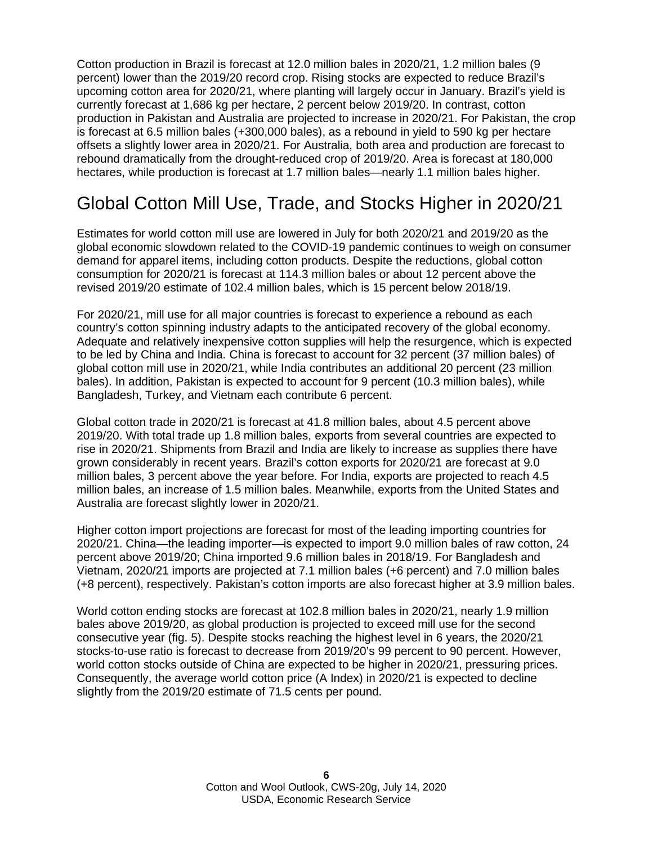Cotton production in Brazil is forecast at 12.0 million bales in 2020/21, 1.2 million bales (9 percent) lower than the 2019/20 record crop. Rising stocks are expected to reduce Brazil's upcoming cotton area for 2020/21, where planting will largely occur in January. Brazil's yield is currently forecast at 1,686 kg per hectare, 2 percent below 2019/20. In contrast, cotton production in Pakistan and Australia are projected to increase in 2020/21. For Pakistan, the crop is forecast at 6.5 million bales (+300,000 bales), as a rebound in yield to 590 kg per hectare offsets a slightly lower area in 2020/21. For Australia, both area and production are forecast to rebound dramatically from the drought-reduced crop of 2019/20. Area is forecast at 180,000 hectares, while production is forecast at 1.7 million bales—nearly 1.1 million bales higher.

### Global Cotton Mill Use, Trade, and Stocks Higher in 2020/21

Estimates for world cotton mill use are lowered in July for both 2020/21 and 2019/20 as the global economic slowdown related to the COVID-19 pandemic continues to weigh on consumer demand for apparel items, including cotton products. Despite the reductions, global cotton consumption for 2020/21 is forecast at 114.3 million bales or about 12 percent above the revised 2019/20 estimate of 102.4 million bales, which is 15 percent below 2018/19.

For 2020/21, mill use for all major countries is forecast to experience a rebound as each country's cotton spinning industry adapts to the anticipated recovery of the global economy. Adequate and relatively inexpensive cotton supplies will help the resurgence, which is expected to be led by China and India. China is forecast to account for 32 percent (37 million bales) of global cotton mill use in 2020/21, while India contributes an additional 20 percent (23 million bales). In addition, Pakistan is expected to account for 9 percent (10.3 million bales), while Bangladesh, Turkey, and Vietnam each contribute 6 percent.

Global cotton trade in 2020/21 is forecast at 41.8 million bales, about 4.5 percent above 2019/20. With total trade up 1.8 million bales, exports from several countries are expected to rise in 2020/21. Shipments from Brazil and India are likely to increase as supplies there have grown considerably in recent years. Brazil's cotton exports for 2020/21 are forecast at 9.0 million bales, 3 percent above the year before. For India, exports are projected to reach 4.5 million bales, an increase of 1.5 million bales. Meanwhile, exports from the United States and Australia are forecast slightly lower in 2020/21.

Higher cotton import projections are forecast for most of the leading importing countries for 2020/21. China—the leading importer—is expected to import 9.0 million bales of raw cotton, 24 percent above 2019/20; China imported 9.6 million bales in 2018/19. For Bangladesh and Vietnam, 2020/21 imports are projected at 7.1 million bales (+6 percent) and 7.0 million bales (+8 percent), respectively. Pakistan's cotton imports are also forecast higher at 3.9 million bales.

World cotton ending stocks are forecast at 102.8 million bales in 2020/21, nearly 1.9 million bales above 2019/20, as global production is projected to exceed mill use for the second consecutive year (fig. 5). Despite stocks reaching the highest level in 6 years, the 2020/21 stocks-to-use ratio is forecast to decrease from 2019/20's 99 percent to 90 percent. However, world cotton stocks outside of China are expected to be higher in 2020/21, pressuring prices. Consequently, the average world cotton price (A Index) in 2020/21 is expected to decline slightly from the 2019/20 estimate of 71.5 cents per pound.